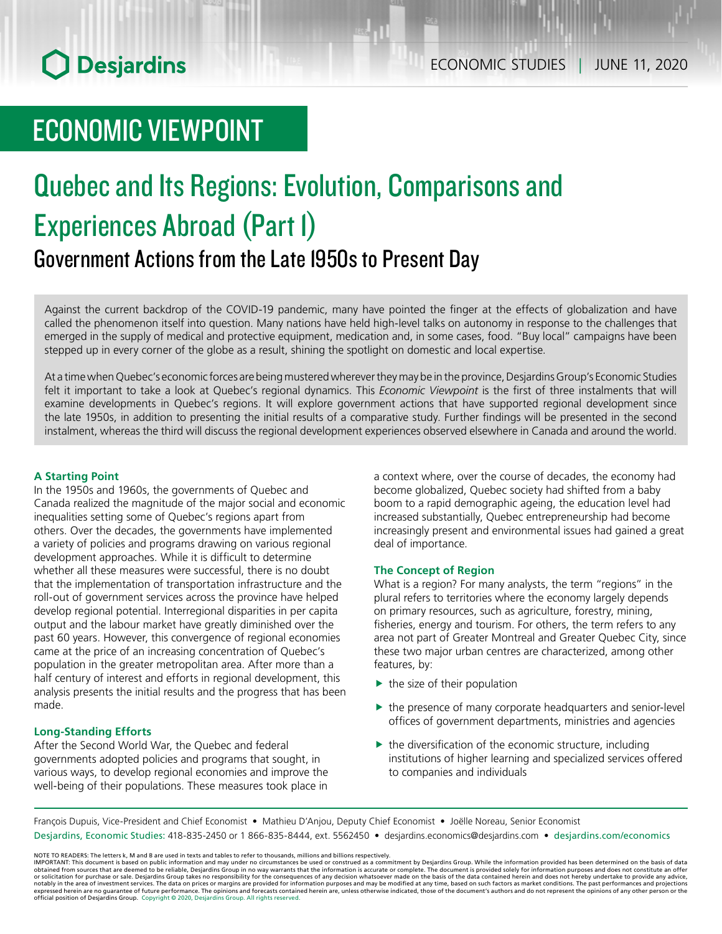# ECONOMIC VIEWPOINT

# Quebec and Its Regions: Evolution, Comparisons and Experiences Abroad (Part 1) Government Actions from the Late 1950s to Present Day

Against the current backdrop of the COVID-19 pandemic, many have pointed the finger at the effects of globalization and have called the phenomenon itself into question. Many nations have held high-level talks on autonomy in response to the challenges that emerged in the supply of medical and protective equipment, medication and, in some cases, food. "Buy local" campaigns have been stepped up in every corner of the globe as a result, shining the spotlight on domestic and local expertise.

At a time when Quebec's economic forces are being mustered wherever they may be in the province, Desjardins Group's Economic Studies felt it important to take a look at Quebec's regional dynamics. This *Economic Viewpoint* is the first of three instalments that will examine developments in Quebec's regions. It will explore government actions that have supported regional development since the late 1950s, in addition to presenting the initial results of a comparative study. Further findings will be presented in the second instalment, whereas the third will discuss the regional development experiences observed elsewhere in Canada and around the world.

#### **A Starting Point**

In the 1950s and 1960s, the governments of Quebec and Canada realized the magnitude of the major social and economic inequalities setting some of Quebec's regions apart from others. Over the decades, the governments have implemented a variety of policies and programs drawing on various regional development approaches. While it is difficult to determine whether all these measures were successful, there is no doubt that the implementation of transportation infrastructure and the roll-out of government services across the province have helped develop regional potential. Interregional disparities in per capita output and the labour market have greatly diminished over the past 60 years. However, this convergence of regional economies came at the price of an increasing concentration of Quebec's population in the greater metropolitan area. After more than a half century of interest and efforts in regional development, this analysis presents the initial results and the progress that has been made.

#### **Long-Standing Efforts**

After the Second World War, the Quebec and federal governments adopted policies and programs that sought, in various ways, to develop regional economies and improve the well-being of their populations. These measures took place in

a context where, over the course of decades, the economy had become globalized, Quebec society had shifted from a baby boom to a rapid demographic ageing, the education level had increased substantially, Quebec entrepreneurship had become increasingly present and environmental issues had gained a great deal of importance.

#### **The Concept of Region**

What is a region? For many analysts, the term "regions" in the plural refers to territories where the economy largely depends on primary resources, such as agriculture, forestry, mining, fisheries, energy and tourism. For others, the term refers to any area not part of Greater Montreal and Greater Quebec City, since these two major urban centres are characterized, among other features, by:

- $\blacktriangleright$  the size of their population
- $\blacktriangleright$  the presence of many corporate headquarters and senior-level offices of government departments, ministries and agencies
- $\blacktriangleright$  the diversification of the economic structure, including institutions of higher learning and specialized services offered to companies and individuals

François Dupuis, Vice-President and Chief Economist • Mathieu D'Anjou, Deputy Chief Economist • Joëlle Noreau, Senior Economist Desjardins, Economic Studies: 418-835-2450 or 1 866-835-8444, ext. 5562450 • desjardins.economics@desjardins.com • desjardins.com/economics

NOTE TO READERS: The letters k, M and B are used in texts and tables to refer to thousands, millions and billions respectively.<br>IMPORTANT: This document is based on public information and may under no circumstances be used obtained from sources that are deemed to be reliable, Desjardins Group in no way warrants that the information is accurate or complete. The document is provided solely for information purposes and does not constitute an of expressed herein are no guarantee of future performance. The opinions and forecasts contained herein are, unless otherwise indicated, those of the document's authors and do not represent the opinions of any other person or official position of Desjardins Group. Copyright © 2020, Desjardins Group. All rights reserved.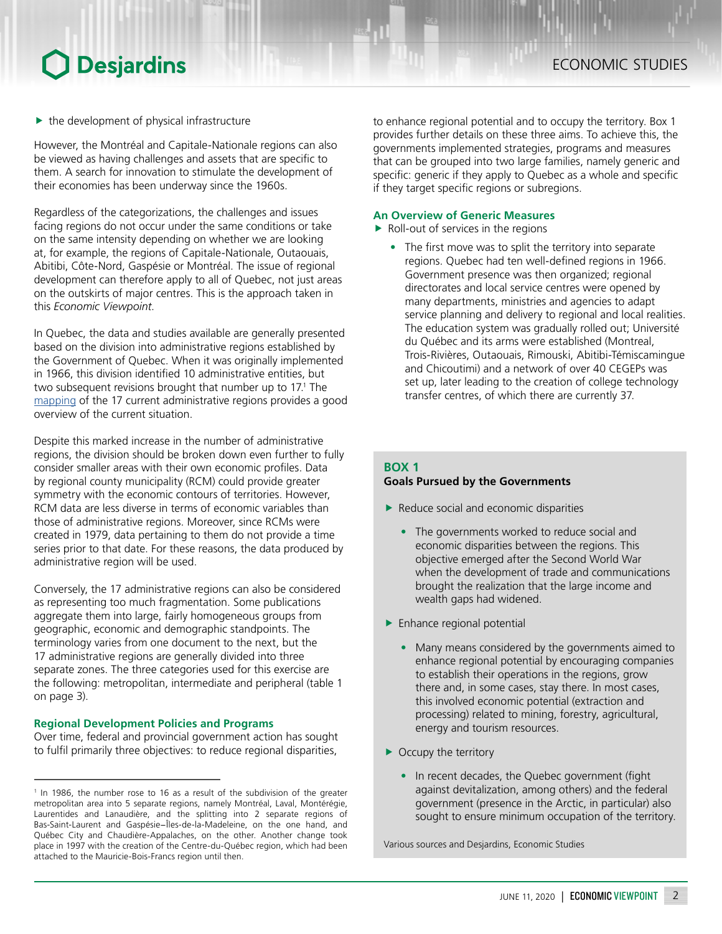$\blacktriangleright$  the development of physical infrastructure

However, the Montréal and Capitale-Nationale regions can also be viewed as having challenges and assets that are specific to them. A search for innovation to stimulate the development of their economies has been underway since the 1960s.

Regardless of the categorizations, the challenges and issues facing regions do not occur under the same conditions or take on the same intensity depending on whether we are looking at, for example, the regions of Capitale-Nationale, Outaouais, Abitibi, Côte-Nord, Gaspésie or Montréal. The issue of regional development can therefore apply to all of Quebec, not just areas on the outskirts of major centres. This is the approach taken in this *Economic Viewpoint*.

In Quebec, the data and studies available are generally presented based on the division into administrative regions established by the Government of Quebec. When it was originally implemented in 1966, this division identified 10 administrative entities, but two subsequent revisions brought that number up to 17.<sup>1</sup> The [mapping](https://quebecgeographique.gouv.qc.ca/education/images/qbc_10m_ra.pdf) of the 17 current administrative regions provides a good overview of the current situation.

Despite this marked increase in the number of administrative regions, the division should be broken down even further to fully consider smaller areas with their own economic profiles. Data by regional county municipality (RCM) could provide greater symmetry with the economic contours of territories. However, RCM data are less diverse in terms of economic variables than those of administrative regions. Moreover, since RCMs were created in 1979, data pertaining to them do not provide a time series prior to that date. For these reasons, the data produced by administrative region will be used.

Conversely, the 17 administrative regions can also be considered as representing too much fragmentation. Some publications aggregate them into large, fairly homogeneous groups from geographic, economic and demographic standpoints. The terminology varies from one document to the next, but the 17 administrative regions are generally divided into three separate zones. The three categories used for this exercise are the following: metropolitan, intermediate and peripheral (table 1 on page 3).

#### **Regional Development Policies and Programs**

Over time, federal and provincial government action has sought to fulfil primarily three objectives: to reduce regional disparities,

to enhance regional potential and to occupy the territory. Box 1 provides further details on these three aims. To achieve this, the governments implemented strategies, programs and measures that can be grouped into two large families, namely generic and specific: generic if they apply to Quebec as a whole and specific if they target specific regions or subregions.

#### **An Overview of Generic Measures**

- $\blacktriangleright$  Roll-out of services in the regions
	- The first move was to split the territory into separate regions. Quebec had ten well-defined regions in 1966. Government presence was then organized; regional directorates and local service centres were opened by many departments, ministries and agencies to adapt service planning and delivery to regional and local realities. The education system was gradually rolled out; Université du Québec and its arms were established (Montreal, Trois-Rivières, Outaouais, Rimouski, Abitibi-Témiscamingue and Chicoutimi) and a network of over 40 CEGEPs was set up, later leading to the creation of college technology transfer centres, of which there are currently 37.

### **BOX 1**

### **Goals Pursued by the Governments**

- $\blacktriangleright$  Reduce social and economic disparities
	- The governments worked to reduce social and economic disparities between the regions. This objective emerged after the Second World War when the development of trade and communications brought the realization that the large income and wealth gaps had widened.
- $\blacktriangleright$  Enhance regional potential
	- Many means considered by the governments aimed to enhance regional potential by encouraging companies to establish their operations in the regions, grow there and, in some cases, stay there. In most cases, this involved economic potential (extraction and processing) related to mining, forestry, agricultural, energy and tourism resources.
- $\triangleright$  Occupy the territory
	- In recent decades, the Quebec government (fight against devitalization, among others) and the federal government (presence in the Arctic, in particular) also sought to ensure minimum occupation of the territory.

<sup>&</sup>lt;sup>1</sup> In 1986, the number rose to 16 as a result of the subdivision of the greater metropolitan area into 5 separate regions, namely Montréal, Laval, Montérégie, Laurentides and Lanaudière, and the splitting into 2 separate regions of Bas‑Saint‑Laurent and Gaspésie−Îles-de-la-Madeleine, on the one hand, and Québec City and Chaudière-Appalaches, on the other. Another change took place in 1997 with the creation of the Centre-du-Québec region, which had been attached to the Mauricie-Bois-Francs region until then.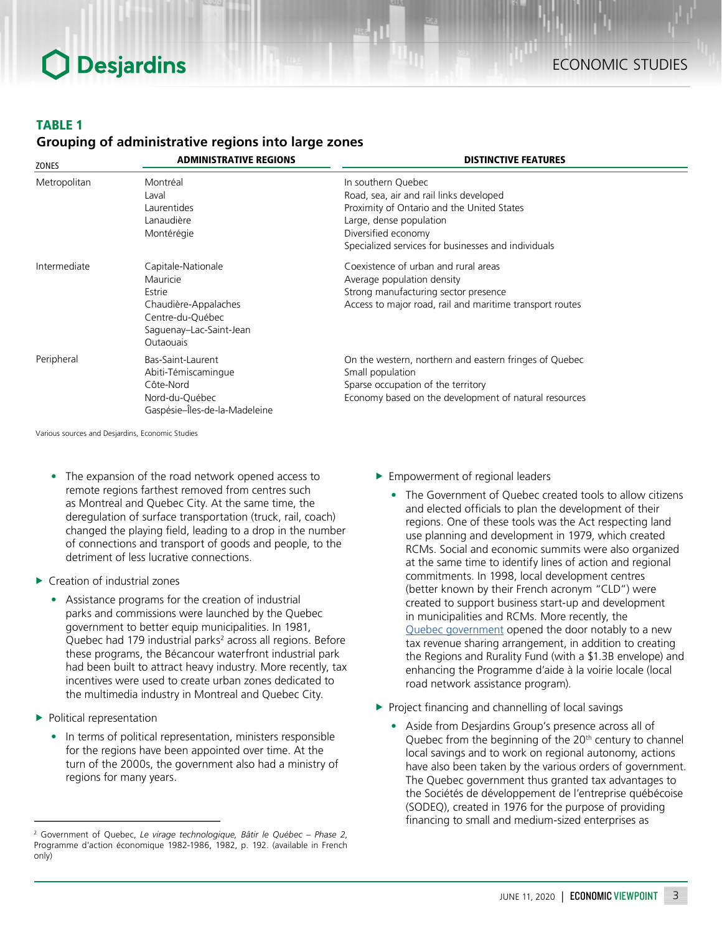### ECONOMIC STUDIES

#### TABLE 1

#### *Grouping of administrative regions into large zones*

| ZONES        | <b>ADMINISTRATIVE REGIONS</b>                                                                                                       | <b>DISTINCTIVE FEATURES</b>                                                                                                                                                                                          |
|--------------|-------------------------------------------------------------------------------------------------------------------------------------|----------------------------------------------------------------------------------------------------------------------------------------------------------------------------------------------------------------------|
| Metropolitan | Montréal<br>Laval<br>Laurentides<br>Lanaudière<br>Montérégie                                                                        | In southern Quebec<br>Road, sea, air and rail links developed<br>Proximity of Ontario and the United States<br>Large, dense population<br>Diversified economy<br>Specialized services for businesses and individuals |
| Intermediate | Capitale-Nationale<br>Mauricie<br>Estrie<br>Chaudière-Appalaches<br>Centre-du-Québec<br>Saguenay-Lac-Saint-Jean<br><b>Outaouais</b> | Coexistence of urban and rural areas<br>Average population density<br>Strong manufacturing sector presence<br>Access to major road, rail and maritime transport routes                                               |
| Peripheral   | Bas-Saint-Laurent<br>Abiti-Témiscamingue<br>Côte-Nord<br>Nord-du-Québec<br>Gaspésie-Îles-de-la-Madeleine                            | On the western, northern and eastern fringes of Quebec<br>Small population<br>Sparse occupation of the territory<br>Economy based on the development of natural resources                                            |

- The expansion of the road network opened access to remote regions farthest removed from centres such as Montreal and Quebec City. At the same time, the deregulation of surface transportation (truck, rail, coach) changed the playing field, leading to a drop in the number of connections and transport of goods and people, to the detriment of less lucrative connections.
- $\blacktriangleright$  Creation of industrial zones
	- Assistance programs for the creation of industrial parks and commissions were launched by the Quebec government to better equip municipalities. In 1981, Quebec had 179 industrial parks<sup>2</sup> across all regions. Before these programs, the Bécancour waterfront industrial park had been built to attract heavy industry. More recently, tax incentives were used to create urban zones dedicated to the multimedia industry in Montreal and Quebec City.
- $\blacktriangleright$  Political representation
	- In terms of political representation, ministers responsible for the regions have been appointed over time. At the turn of the 2000s, the government also had a ministry of regions for many years.
- $\blacktriangleright$  Empowerment of regional leaders
	- The Government of Quebec created tools to allow citizens and elected officials to plan the development of their regions. One of these tools was the Act respecting land use planning and development in 1979, which created RCMs. Social and economic summits were also organized at the same time to identify lines of action and regional commitments. In 1998, local development centres (better known by their French acronym "CLD") were created to support business start-up and development in municipalities and RCMs. More recently, the Quebec [government](https://www.ledevoir.com/opinion/idees/566096/pacte-fiscal-une-entente-benefique-pour-les-villes-et-les-citoyens) opened the door notably to a new tax revenue sharing arrangement, in addition to creating the Regions and Rurality Fund (with a \$1.3B envelope) and enhancing the Programme d'aide à la voirie locale (local road network assistance program).
- $\blacktriangleright$  Project financing and channelling of local savings
	- Aside from Desjardins Group's presence across all of Quebec from the beginning of the 20<sup>th</sup> century to channel local savings and to work on regional autonomy, actions have also been taken by the various orders of government. The Quebec government thus granted tax advantages to the Sociétés de développement de l'entreprise québécoise (SODEQ), created in 1976 for the purpose of providing financing to small and medium‑sized enterprises as

<sup>2</sup> Government of Quebec, *Le virage technologique, Bâtir le Québec – Phase 2*, Programme d'action économique 1982-1986, 1982, p. 192. (available in French only)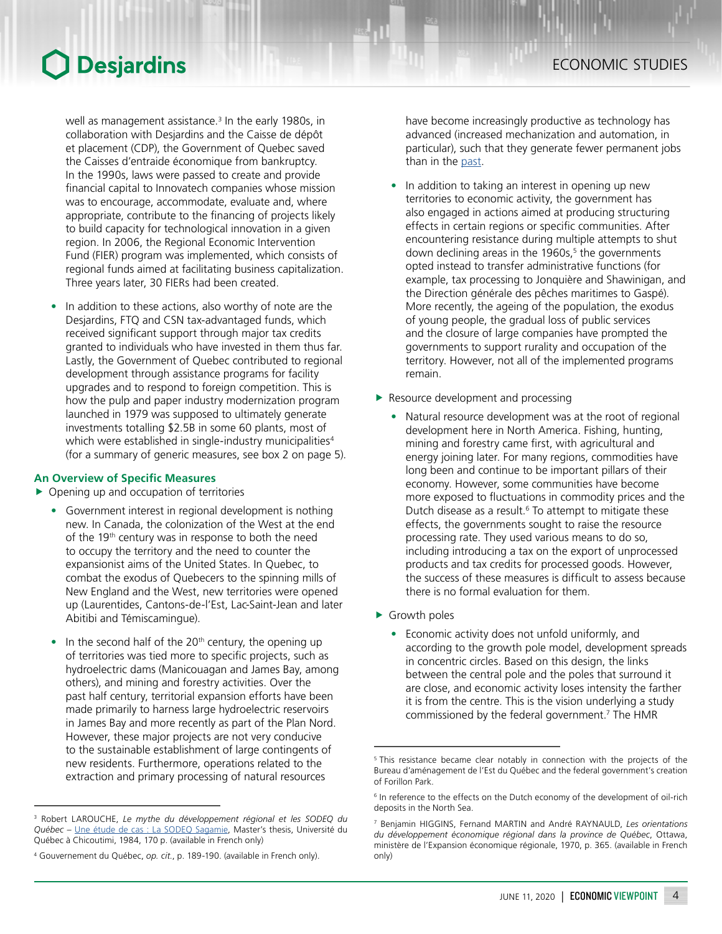well as management assistance.<sup>3</sup> In the early 1980s, in collaboration with Desjardins and the Caisse de dépôt et placement (CDP), the Government of Quebec saved the Caisses d'entraide économique from bankruptcy. In the 1990s, laws were passed to create and provide financial capital to Innovatech companies whose mission was to encourage, accommodate, evaluate and, where appropriate, contribute to the financing of projects likely to build capacity for technological innovation in a given region. In 2006, the Regional Economic Intervention Fund (FIER) program was implemented, which consists of regional funds aimed at facilitating business capitalization. Three years later, 30 FIERs had been created.

In addition to these actions, also worthy of note are the Desjardins, FTQ and CSN tax-advantaged funds, which received significant support through major tax credits granted to individuals who have invested in them thus far. Lastly, the Government of Quebec contributed to regional development through assistance programs for facility upgrades and to respond to foreign competition. This is how the pulp and paper industry modernization program launched in 1979 was supposed to ultimately generate investments totalling \$2.5B in some 60 plants, most of which were established in single-industry municipalities<sup>4</sup> (for a summary of generic measures, see box 2 on page 5).

#### **An Overview of Specific Measures**

- $\triangleright$  Opening up and occupation of territories
	- Government interest in regional development is nothing new. In Canada, the colonization of the West at the end of the 19<sup>th</sup> century was in response to both the need to occupy the territory and the need to counter the expansionist aims of the United States. In Quebec, to combat the exodus of Quebecers to the spinning mills of New England and the West, new territories were opened up (Laurentides, Cantons-de-l'Est, Lac-Saint-Jean and later Abitibi and Témiscamingue).
	- In the second half of the 20<sup>th</sup> century, the opening up of territories was tied more to specific projects, such as hydroelectric dams (Manicouagan and James Bay, among others), and mining and forestry activities. Over the past half century, territorial expansion efforts have been made primarily to harness large hydroelectric reservoirs in James Bay and more recently as part of the Plan Nord. However, these major projects are not very conducive to the sustainable establishment of large contingents of new residents. Furthermore, operations related to the extraction and primary processing of natural resources

have become increasingly productive as technology has advanced (increased mechanization and automation, in particular), such that they generate fewer permanent jobs than in the [past](http://blogue.economistesquebecois.com/2011/10/11/croissance-nordique-sans-developpement/).

- In addition to taking an interest in opening up new territories to economic activity, the government has also engaged in actions aimed at producing structuring effects in certain regions or specific communities. After encountering resistance during multiple attempts to shut down declining areas in the 1960s,<sup>5</sup> the governments opted instead to transfer administrative functions (for example, tax processing to Jonquière and Shawinigan, and the Direction générale des pêches maritimes to Gaspé). More recently, the ageing of the population, the exodus of young people, the gradual loss of public services and the closure of large companies have prompted the governments to support rurality and occupation of the territory. However, not all of the implemented programs remain.
- $\blacktriangleright$  Resource development and processing
	- Natural resource development was at the root of regional development here in North America. Fishing, hunting, mining and forestry came first, with agricultural and energy joining later. For many regions, commodities have long been and continue to be important pillars of their economy. However, some communities have become more exposed to fluctuations in commodity prices and the Dutch disease as a result.<sup>6</sup> To attempt to mitigate these effects, the governments sought to raise the resource processing rate. They used various means to do so, including introducing a tax on the export of unprocessed products and tax credits for processed goods. However, the success of these measures is difficult to assess because there is no formal evaluation for them.
- $\blacktriangleright$  Growth poles
	- Economic activity does not unfold uniformly, and according to the growth pole model, development spreads in concentric circles. Based on this design, the links between the central pole and the poles that surround it are close, and economic activity loses intensity the farther it is from the centre. This is the vision underlying a study commissioned by the federal government.7 The HMR

<sup>3</sup> Robert LAROUCHE, *Le mythe du développement régional et les SODEQ du*  Québec – [Une étude de cas : La SODEQ Sagamie](https://constellation.uqac.ca/1789/1/1386948.pdf), Master's thesis, Université du Québec à Chicoutimi, 1984, 170 p. (available in French only)

<sup>4</sup> Gouvernement du Québec, *op. cit.*, p. 189-190. (available in French only).

<sup>&</sup>lt;sup>5</sup> This resistance became clear notably in connection with the projects of the Bureau d'aménagement de l'Est du Québec and the federal government's creation of Forillon Park.

<sup>&</sup>lt;sup>6</sup> In reference to the effects on the Dutch economy of the development of oil-rich deposits in the North Sea.

<sup>7</sup> Benjamin HIGGINS, Fernand MARTIN and André RAYNAULD, *Les orientations du développement économique régional dans la province de Québec*, Ottawa, ministère de l'Expansion économique régionale, 1970, p. 365. (available in French only)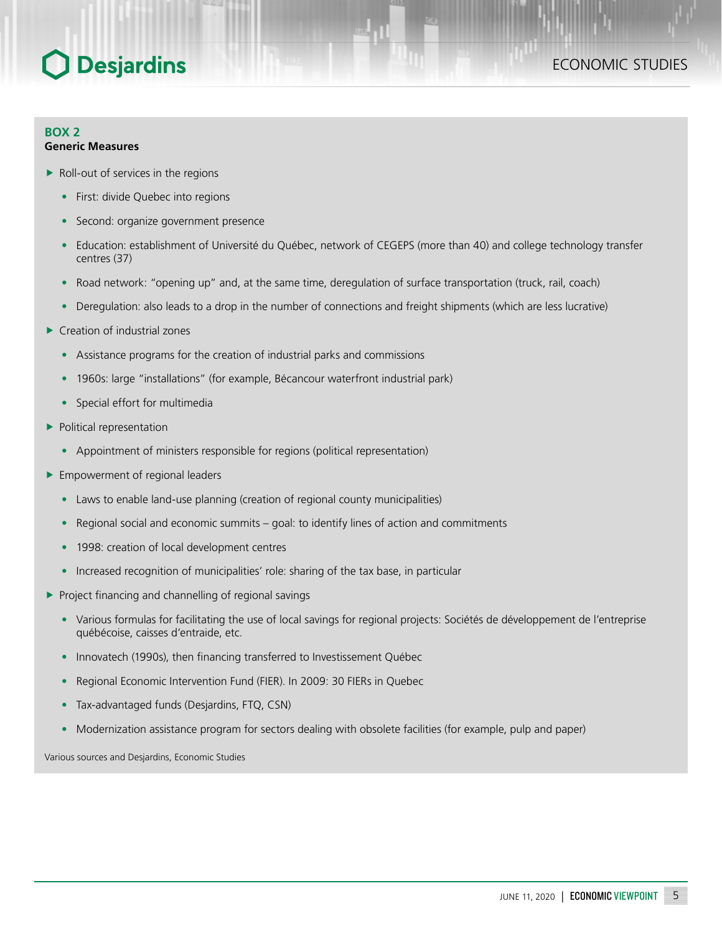#### **BOX 2 Generic Measures**

- $\blacktriangleright$  Roll-out of services in the regions
	- First: divide Quebec into regions
	- Second: organize government presence
	- Education: establishment of Université du Québec, network of CEGEPS (more than 40) and college technology transfer centres (37)
	- Road network: "opening up" and, at the same time, deregulation of surface transportation (truck, rail, coach)
	- Deregulation: also leads to a drop in the number of connections and freight shipments (which are less lucrative)
- $\blacktriangleright$  Creation of industrial zones
	- Assistance programs for the creation of industrial parks and commissions
	- 1960s: large "installations" (for example, Bécancour waterfront industrial park)
	- Special effort for multimedia
- $\blacktriangleright$  Political representation
	- Appointment of ministers responsible for regions (political representation)
- $\blacktriangleright$  Empowerment of regional leaders
	- Laws to enable land-use planning (creation of regional county municipalities)
	- Regional social and economic summits goal: to identify lines of action and commitments
	- 1998: creation of local development centres
	- Increased recognition of municipalities' role: sharing of the tax base, in particular
- $\blacktriangleright$  Project financing and channelling of regional savings
	- Various formulas for facilitating the use of local savings for regional projects: Sociétés de développement de l'entreprise québécoise, caisses d'entraide, etc.
	- Innovatech (1990s), then financing transferred to Investissement Québec
	- Regional Economic Intervention Fund (FIER). In 2009: 30 FIERs in Quebec
	- Tax-advantaged funds (Desjardins, FTQ, CSN)
	- Modernization assistance program for sectors dealing with obsolete facilities (for example, pulp and paper)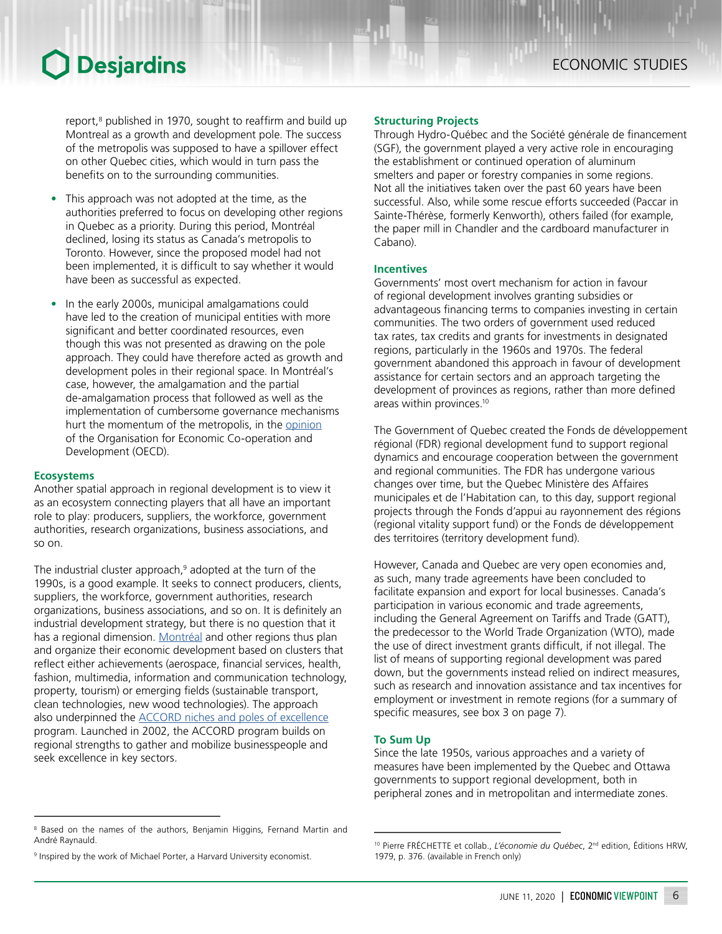report,<sup>8</sup> published in 1970, sought to reaffirm and build up Montreal as a growth and development pole. The success of the metropolis was supposed to have a spillover effect on other Quebec cities, which would in turn pass the benefits on to the surrounding communities.

- This approach was not adopted at the time, as the authorities preferred to focus on developing other regions in Quebec as a priority. During this period, Montréal declined, losing its status as Canada's metropolis to Toronto. However, since the proposed model had not been implemented, it is difficult to say whether it would have been as successful as expected.
- In the early 2000s, municipal amalgamations could have led to the creation of municipal entities with more significant and better coordinated resources, even though this was not presented as drawing on the pole approach. They could have therefore acted as growth and development poles in their regional space. In Montréal's case, however, the amalgamation and the partial de-amalgamation process that followed as well as the implementation of cumbersome governance mechanisms hurt the momentum of the metropolis, in the [opinion](https://www.oecd-ilibrary.org/urban-rural-and-regional-development/oecd-territorial-reviews-montreal-canada-2004_9789264105980-en) of the Organisation for Economic Co-operation and Development (OECD).

#### **Ecosystems**

Another spatial approach in regional development is to view it as an ecosystem connecting players that all have an important role to play: producers, suppliers, the workforce, government authorities, research organizations, business associations, and so on.

The industrial cluster approach,<sup>9</sup> adopted at the turn of the 1990s, is a good example. It seeks to connect producers, clients, suppliers, the workforce, government authorities, research organizations, business associations, and so on. It is definitely an industrial development strategy, but there is no question that it has a regional dimension. [Montréal](http://ville.montreal.qc.ca/pls/portal/docs/PAGE/AFFAIRES_FR/MEDIA/DOCUMENTS/ACCELERER_MONTREAL.PDF) and other regions thus plan and organize their economic development based on clusters that reflect either achievements (aerospace, financial services, health, fashion, multimedia, information and communication technology, property, tourism) or emerging fields (sustainable transport, clean technologies, new wood technologies). The approach also underpinned the [ACCORD niches and poles of excellence](https://www.economie.gouv.qc.ca/objectifs/creer-liens/creneaux-et-poles-dexcellence-accord/page/programmes-14284/?tx_igaffichagepages_pi1%5BbackPid%5D=70&tx_igaffichagepages_pi1%5BcurrentCat%5D=&cHash=58c14abfcedc3a3c25c7cc6ef01d5e68&tx_igaffichagepages_pi1%5Bmode%5D=single&tx_igaffichagepages_pi1%5BparentPid%5D=12796) program. Launched in 2002, the ACCORD program builds on regional strengths to gather and mobilize businesspeople and seek excellence in key sectors.

#### **Structuring Projects**

Through Hydro-Québec and the Société générale de financement (SGF), the government played a very active role in encouraging the establishment or continued operation of aluminum smelters and paper or forestry companies in some regions. Not all the initiatives taken over the past 60 years have been successful. Also, while some rescue efforts succeeded (Paccar in Sainte-Thérèse, formerly Kenworth), others failed (for example, the paper mill in Chandler and the cardboard manufacturer in Cabano).

#### **Incentives**

Governments' most overt mechanism for action in favour of regional development involves granting subsidies or advantageous financing terms to companies investing in certain communities. The two orders of government used reduced tax rates, tax credits and grants for investments in designated regions, particularly in the 1960s and 1970s. The federal government abandoned this approach in favour of development assistance for certain sectors and an approach targeting the development of provinces as regions, rather than more defined areas within provinces.10

The Government of Quebec created the Fonds de développement régional (FDR) regional development fund to support regional dynamics and encourage cooperation between the government and regional communities. The FDR has undergone various changes over time, but the Quebec Ministère des Affaires municipales et de l'Habitation can, to this day, support regional projects through the Fonds d'appui au rayonnement des régions (regional vitality support fund) or the Fonds de développement des territoires (territory development fund).

However, Canada and Quebec are very open economies and, as such, many trade agreements have been concluded to facilitate expansion and export for local businesses. Canada's participation in various economic and trade agreements, including the General Agreement on Tariffs and Trade (GATT), the predecessor to the World Trade Organization (WTO), made the use of direct investment grants difficult, if not illegal. The list of means of supporting regional development was pared down, but the governments instead relied on indirect measures, such as research and innovation assistance and tax incentives for employment or investment in remote regions (for a summary of specific measures, see box 3 on page 7).

#### **To Sum Up**

Since the late 1950s, various approaches and a variety of measures have been implemented by the Quebec and Ottawa governments to support regional development, both in peripheral zones and in metropolitan and intermediate zones.

<sup>&</sup>lt;sup>8</sup> Based on the names of the authors, Benjamin Higgins, Fernand Martin and André Raynauld.

<sup>&</sup>lt;sup>9</sup> Inspired by the work of Michael Porter, a Harvard University economist.

<sup>&</sup>lt;sup>10</sup> Pierre FRÉCHETTE et collab., *L'économie du Québec*, 2<sup>nd</sup> edition, Éditions HRW, 1979, p. 376. (available in French only)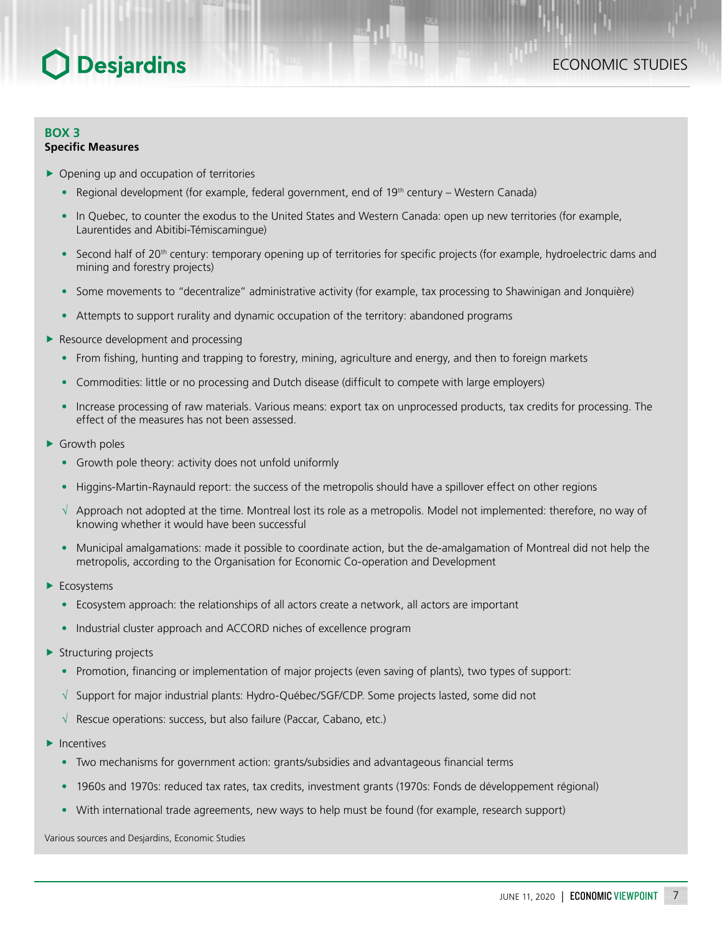#### **BOX 3 Specific Measures**

- $\triangleright$  Opening up and occupation of territories
	- Regional development (for example, federal government, end of  $19<sup>th</sup>$  century Western Canada)
	- In Quebec, to counter the exodus to the United States and Western Canada: open up new territories (for example, Laurentides and Abitibi-Témiscamingue)
	- Second half of 20<sup>th</sup> century: temporary opening up of territories for specific projects (for example, hydroelectric dams and mining and forestry projects)
	- Some movements to "decentralize" administrative activity (for example, tax processing to Shawinigan and Jonquière)
	- Attempts to support rurality and dynamic occupation of the territory: abandoned programs
- $\blacktriangleright$  Resource development and processing
	- From fishing, hunting and trapping to forestry, mining, agriculture and energy, and then to foreign markets
	- Commodities: little or no processing and Dutch disease (difficult to compete with large employers)
	- Increase processing of raw materials. Various means: export tax on unprocessed products, tax credits for processing. The effect of the measures has not been assessed.
- $\blacktriangleright$  Growth poles
	- Growth pole theory: activity does not unfold uniformly
	- Higgins-Martin-Raynauld report: the success of the metropolis should have a spillover effect on other regions
	- √ Approach not adopted at the time. Montreal lost its role as a metropolis. Model not implemented: therefore, no way of knowing whether it would have been successful
	- Municipal amalgamations: made it possible to coordinate action, but the de-amalgamation of Montreal did not help the metropolis, according to the Organisation for Economic Co-operation and Development
- $\blacktriangleright$  Ecosystems
	- Ecosystem approach: the relationships of all actors create a network, all actors are important
	- Industrial cluster approach and ACCORD niches of excellence program
- $\blacktriangleright$  Structuring projects
	- Promotion, financing or implementation of major projects (even saving of plants), two types of support:
	- √ Support for major industrial plants: Hydro-Québec/SGF/CDP. Some projects lasted, some did not
	- √ Rescue operations: success, but also failure (Paccar, Cabano, etc.)
- $\blacktriangleright$  Incentives
	- Two mechanisms for government action: grants/subsidies and advantageous financial terms
	- 1960s and 1970s: reduced tax rates, tax credits, investment grants (1970s: Fonds de développement régional)
	- With international trade agreements, new ways to help must be found (for example, research support)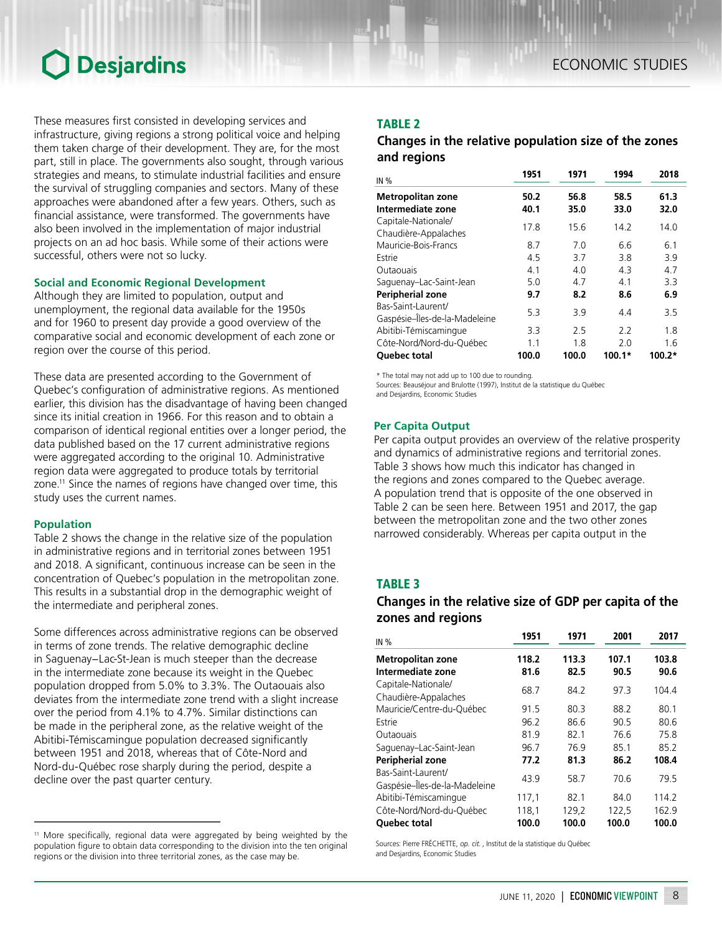These measures first consisted in developing services and infrastructure, giving regions a strong political voice and helping them taken charge of their development. They are, for the most part, still in place. The governments also sought, through various strategies and means, to stimulate industrial facilities and ensure the survival of struggling companies and sectors. Many of these approaches were abandoned after a few years. Others, such as financial assistance, were transformed. The governments have also been involved in the implementation of major industrial projects on an ad hoc basis. While some of their actions were successful, others were not so lucky.

#### **Social and Economic Regional Development**

Although they are limited to population, output and unemployment, the regional data available for the 1950s and for 1960 to present day provide a good overview of the comparative social and economic development of each zone or region over the course of this period.

These data are presented according to the Government of Quebec's configuration of administrative regions. As mentioned earlier, this division has the disadvantage of having been changed since its initial creation in 1966. For this reason and to obtain a comparison of identical regional entities over a longer period, the data published based on the 17 current administrative regions were aggregated according to the original 10. Administrative region data were aggregated to produce totals by territorial zone.<sup>11</sup> Since the names of regions have changed over time, this study uses the current names.

#### **Population**

Table 2 shows the change in the relative size of the population in administrative regions and in territorial zones between 1951 and 2018. A significant, continuous increase can be seen in the concentration of Quebec's population in the metropolitan zone. This results in a substantial drop in the demographic weight of the intermediate and peripheral zones.

Some differences across administrative regions can be observed in terms of zone trends. The relative demographic decline in Saguenay−Lac-St-Jean is much steeper than the decrease in the intermediate zone because its weight in the Quebec population dropped from 5.0% to 3.3%. The Outaouais also deviates from the intermediate zone trend with a slight increase over the period from 4.1% to 4.7%. Similar distinctions can be made in the peripheral zone, as the relative weight of the Abitibi‑Témiscamingue population decreased significantly between 1951 and 2018, whereas that of Côte-Nord and Nord-du-Québec rose sharply during the period, despite a decline over the past quarter century.

#### TABLE 2

### *Changes in the relative population size of the zones and regions*

| IN%                           | 1951  | 1971  | 1994     | 2018     |
|-------------------------------|-------|-------|----------|----------|
| <b>Metropolitan zone</b>      | 50.2  | 56.8  | 58.5     | 61.3     |
| Intermediate zone             | 40.1  | 35.0  | 33.0     | 32.0     |
| Capitale-Nationale/           | 178   | 15.6  | 14.2     | 14.0     |
| Chaudière-Appalaches          |       |       |          |          |
| Mauricie-Bois-Francs          | 8.7   | 70    | 66       | 61       |
| Estrie                        | 4.5   | 37    | 38       | 3.9      |
| Qutaouais                     | 4.1   | 4.0   | 4.3      | 4.7      |
| Saguenay-Lac-Saint-Jean       | 5.0   | 4.7   | 41       | 3.3      |
| Peripherial zone              | 9.7   | 8.2   | 8.6      | 6.9      |
| Bas-Saint-Laurent/            | 53    | 39    |          | 3.5      |
| Gaspésie-Îles-de-la-Madeleine |       |       | 4.4      |          |
| Abitibi-Témiscamingue         | 3.3   | 2.5   | 2.2      | 1.8      |
| Côte-Nord/Nord-du-Québec      | 11    | 1.8   | 20       | 1.6      |
| <b>Ouebec total</b>           | 100.0 | 100.0 | $100.1*$ | $100.2*$ |

\* The total may not add up to 100 due to rounding.

Sources: Beauséjour and Brulotte (1997), Institut de la statistique du Québec

and Desjardins, Economic Studies

#### **Per Capita Output**

Per capita output provides an overview of the relative prosperity and dynamics of administrative regions and territorial zones. Table 3 shows how much this indicator has changed in the regions and zones compared to the Quebec average. A population trend that is opposite of the one observed in Table 2 can be seen here. Between 1951 and 2017, the gap between the metropolitan zone and the two other zones narrowed considerably. Whereas per capita output in the

### TABLE 3

### *Changes in the relative size of GDP per capita of the zones and regions*

| IN%                                                 | 1951  | 1971  | 2001  | 2017  |
|-----------------------------------------------------|-------|-------|-------|-------|
| <b>Metropolitan zone</b>                            | 118.2 | 113.3 | 107.1 | 103.8 |
| Intermediate zone                                   | 81.6  | 82.5  | 90.5  | 90.6  |
| Capitale-Nationale/<br>Chaudière-Appalaches         | 68.7  | 84.2  | 97.3  | 104.4 |
| Mauricie/Centre-du-Québec                           | 91.5  | 80.3  | 88.2  | 80.1  |
| Estrie                                              | 96.2  | 86.6  | 90.5  | 80.6  |
| Outaouais                                           | 81.9  | 82.1  | 76.6  | 75.8  |
| Saguenay-Lac-Saint-Jean                             | 96.7  | 76.9  | 85.1  | 85.2  |
| Peripherial zone                                    | 77.2  | 81.3  | 86.2  | 108.4 |
| Bas-Saint-Laurent/<br>Gaspésie-Îles-de-la-Madeleine | 43.9  | 58.7  | 70.6  | 79.5  |
| Abitibi-Témiscamingue                               | 117,1 | 82.1  | 84.0  | 114.2 |
| Côte-Nord/Nord-du-Québec                            | 118,1 | 129,2 | 122,5 | 162.9 |
| <b>Ouebec total</b>                                 | 100.0 | 100.0 | 100.0 | 100.0 |

Sources: Pierre FRÉCHETTE, *op. cit.* , Institut de la statistique du Québec and Desjardins, Economic Studies

<sup>&</sup>lt;sup>11</sup> More specifically, regional data were aggregated by being weighted by the population figure to obtain data corresponding to the division into the ten original regions or the division into three territorial zones, as the case may be.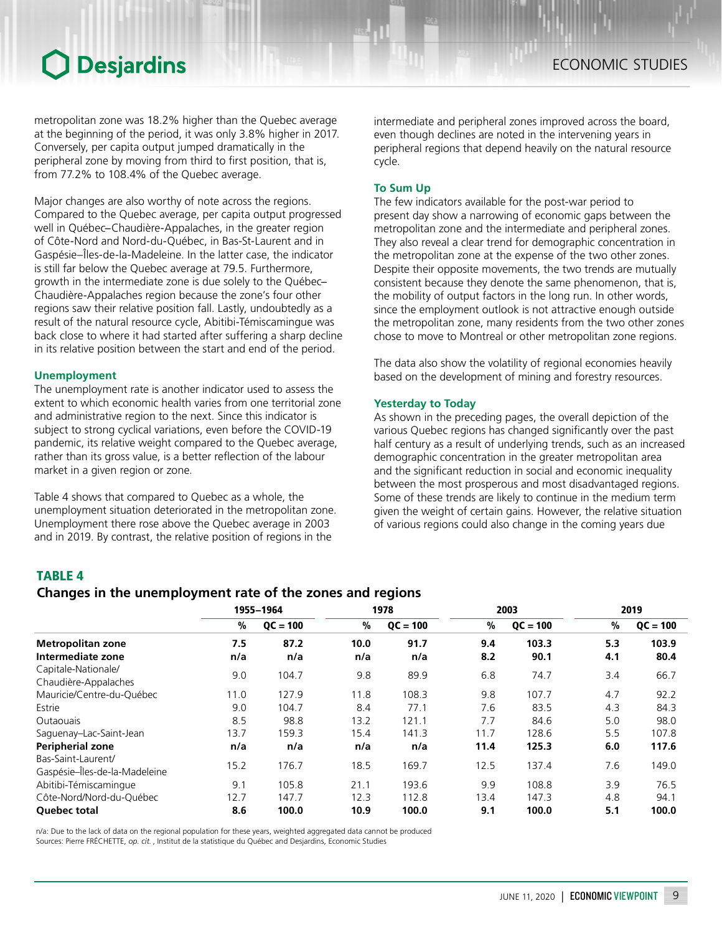metropolitan zone was 18.2% higher than the Quebec average at the beginning of the period, it was only 3.8% higher in 2017. Conversely, per capita output jumped dramatically in the peripheral zone by moving from third to first position, that is, from 77.2% to 108.4% of the Quebec average.

Major changes are also worthy of note across the regions. Compared to the Quebec average, per capita output progressed well in Québec−Chaudière-Appalaches, in the greater region of Côte-Nord and Nord-du-Québec, in Bas-St-Laurent and in Gaspésie–Îles-de-la-Madeleine. In the latter case, the indicator is still far below the Quebec average at 79.5. Furthermore, growth in the intermediate zone is due solely to the Québec− Chaudière-Appalaches region because the zone's four other regions saw their relative position fall. Lastly, undoubtedly as a result of the natural resource cycle, Abitibi-Témiscamingue was back close to where it had started after suffering a sharp decline in its relative position between the start and end of the period.

#### **Unemployment**

The unemployment rate is another indicator used to assess the extent to which economic health varies from one territorial zone and administrative region to the next. Since this indicator is subject to strong cyclical variations, even before the COVID-19 pandemic, its relative weight compared to the Quebec average, rather than its gross value, is a better reflection of the labour market in a given region or zone.

Table 4 shows that compared to Quebec as a whole, the unemployment situation deteriorated in the metropolitan zone. Unemployment there rose above the Quebec average in 2003 and in 2019. By contrast, the relative position of regions in the

intermediate and peripheral zones improved across the board, even though declines are noted in the intervening years in peripheral regions that depend heavily on the natural resource cycle.

#### **To Sum Up**

The few indicators available for the post-war period to present day show a narrowing of economic gaps between the metropolitan zone and the intermediate and peripheral zones. They also reveal a clear trend for demographic concentration in the metropolitan zone at the expense of the two other zones. Despite their opposite movements, the two trends are mutually consistent because they denote the same phenomenon, that is, the mobility of output factors in the long run. In other words, since the employment outlook is not attractive enough outside the metropolitan zone, many residents from the two other zones chose to move to Montreal or other metropolitan zone regions.

The data also show the volatility of regional economies heavily based on the development of mining and forestry resources.

#### **Yesterday to Today**

As shown in the preceding pages, the overall depiction of the various Quebec regions has changed significantly over the past half century as a result of underlying trends, such as an increased demographic concentration in the greater metropolitan area and the significant reduction in social and economic inequality between the most prosperous and most disadvantaged regions. Some of these trends are likely to continue in the medium term given the weight of certain gains. However, the relative situation of various regions could also change in the coming years due

### TABLE 4

### *Changes in the unemployment rate of the zones and regions*

|                                                     |      | 1955-1964  | 1978 |            | 2003 |            | 2019 |            |
|-----------------------------------------------------|------|------------|------|------------|------|------------|------|------------|
|                                                     | %    | $QC = 100$ | %    | $OC = 100$ | %    | $QC = 100$ | %    | $OC = 100$ |
| Metropolitan zone                                   | 7.5  | 87.2       | 10.0 | 91.7       | 9.4  | 103.3      | 5.3  | 103.9      |
| Intermediate zone                                   | n/a  | n/a        | n/a  | n/a        | 8.2  | 90.1       | 4.1  | 80.4       |
| Capitale-Nationale/<br>Chaudière-Appalaches         | 9.0  | 104.7      | 9.8  | 89.9       | 6.8  | 74.7       | 3.4  | 66.7       |
| Mauricie/Centre-du-Québec                           | 11.0 | 127.9      | 11.8 | 108.3      | 9.8  | 107.7      | 4.7  | 92.2       |
| Estrie                                              | 9.0  | 104.7      | 8.4  | 77.1       | 7.6  | 83.5       | 4.3  | 84.3       |
| <b>Outaouais</b>                                    | 8.5  | 98.8       | 13.2 | 121.1      | 7.7  | 84.6       | 5.0  | 98.0       |
| Saguenay-Lac-Saint-Jean                             | 13.7 | 159.3      | 15.4 | 141.3      | 11.7 | 128.6      | 5.5  | 107.8      |
| <b>Peripherial zone</b>                             | n/a  | n/a        | n/a  | n/a        | 11.4 | 125.3      | 6.0  | 117.6      |
| Bas-Saint-Laurent/<br>Gaspésie-Îles-de-la-Madeleine | 15.2 | 176.7      | 18.5 | 169.7      | 12.5 | 137.4      | 7.6  | 149.0      |
| Abitibi-Témiscamingue                               | 9.1  | 105.8      | 21.1 | 193.6      | 9.9  | 108.8      | 3.9  | 76.5       |
| Côte-Nord/Nord-du-Ouébec                            | 12.7 | 147.7      | 12.3 | 112.8      | 13.4 | 147.3      | 4.8  | 94.1       |
| <b>Ouebec total</b>                                 | 8.6  | 100.0      | 10.9 | 100.0      | 9.1  | 100.0      | 5.1  | 100.0      |

n/a: Due to the lack of data on the regional population for these years, weighted aggregated data cannot be produced Sources: Pierre FRÉCHETTE, *op. cit.* , Institut de la statistique du Québec and Desjardins, Economic Studies